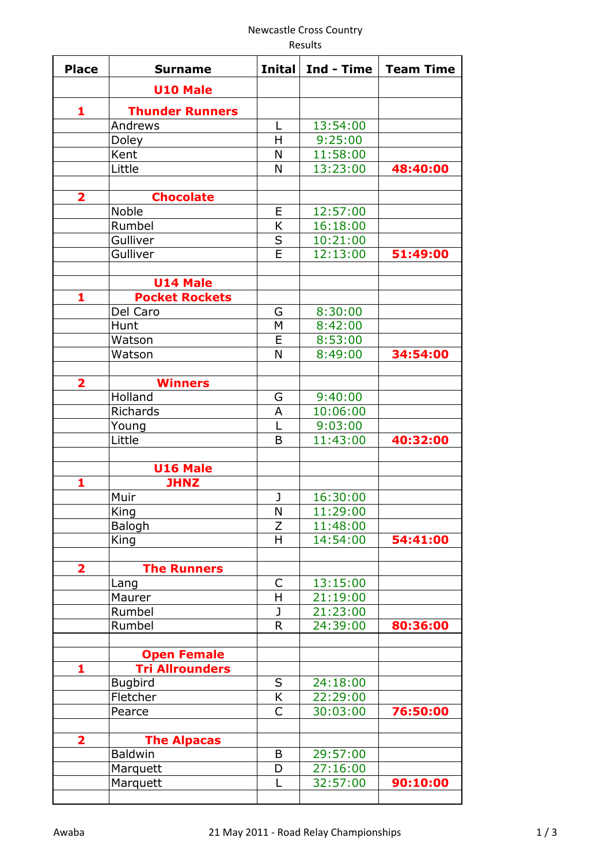## Newcastle Cross Country

Results

| <b>Place</b>            | <b>Surname</b>         | <b>Inital</b> | Ind - Time | <b>Team Time</b> |
|-------------------------|------------------------|---------------|------------|------------------|
|                         | <b>U10 Male</b>        |               |            |                  |
| 1                       | <b>Thunder Runners</b> |               |            |                  |
|                         | Andrews                | L             | 13:54:00   |                  |
|                         | Doley                  | H             | 9:25:00    |                  |
|                         | Kent                   | N             | 11:58:00   |                  |
|                         | Little                 | N             | 13:23:00   | 48:40:00         |
| $\overline{\mathbf{2}}$ | <b>Chocolate</b>       |               |            |                  |
|                         | <b>Noble</b>           | E             | 12:57:00   |                  |
|                         | Rumbel                 | K             | 16:18:00   |                  |
|                         | Gulliver               | S             | 10:21:00   |                  |
|                         | Gulliver               | E             | 12:13:00   | 51:49:00         |
|                         | <b>U14 Male</b>        |               |            |                  |
| 1                       | <b>Pocket Rockets</b>  |               |            |                  |
|                         | Del Caro               | G             | 8:30:00    |                  |
|                         | Hunt                   | M             | 8:42:00    |                  |
|                         | Watson                 | E             | 8:53:00    |                  |
|                         | Watson                 | N             | 8:49:00    | 34:54:00         |
| $\overline{\mathbf{2}}$ | <b>Winners</b>         |               |            |                  |
|                         | Holland                | G             | 9:40:00    |                  |
|                         | Richards               | A             | 10:06:00   |                  |
|                         | Young                  | L             | 9:03:00    |                  |
|                         | Little                 | B             | 11:43:00   | 40:32:00         |
|                         | <b>U16 Male</b>        |               |            |                  |
| 1                       | <b>JHNZ</b>            |               |            |                  |
|                         | Muir                   | J             | 16:30:00   |                  |
|                         | <b>King</b>            | N             | 11:29:00   |                  |
|                         | Balogh                 | Z             | 11:48:00   |                  |
|                         | King                   | H             | 14:54:00   | 54:41:00         |
| 2                       | <b>The Runners</b>     |               |            |                  |
|                         | Lang                   | C             | 13:15:00   |                  |
|                         | Maurer                 | H             | 21:19:00   |                  |
|                         | Rumbel                 | J             | 21:23:00   |                  |
|                         | Rumbel                 | R             | 24:39:00   | 80:36:00         |
|                         | <b>Open Female</b>     |               |            |                  |
| 1                       | <b>Tri Allrounders</b> |               |            |                  |
|                         | <b>Bugbird</b>         | S             | 24:18:00   |                  |
|                         | Fletcher               | K             | 22:29:00   |                  |
|                         | Pearce                 | C             | 30:03:00   | 76:50:00         |
| $\overline{\mathbf{2}}$ | <b>The Alpacas</b>     |               |            |                  |
|                         | <b>Baldwin</b>         | B             | 29:57:00   |                  |
|                         | Marquett               | D             | 27:16:00   |                  |
|                         | Marquett               | L             | 32:57:00   | 90:10:00         |
|                         |                        |               |            |                  |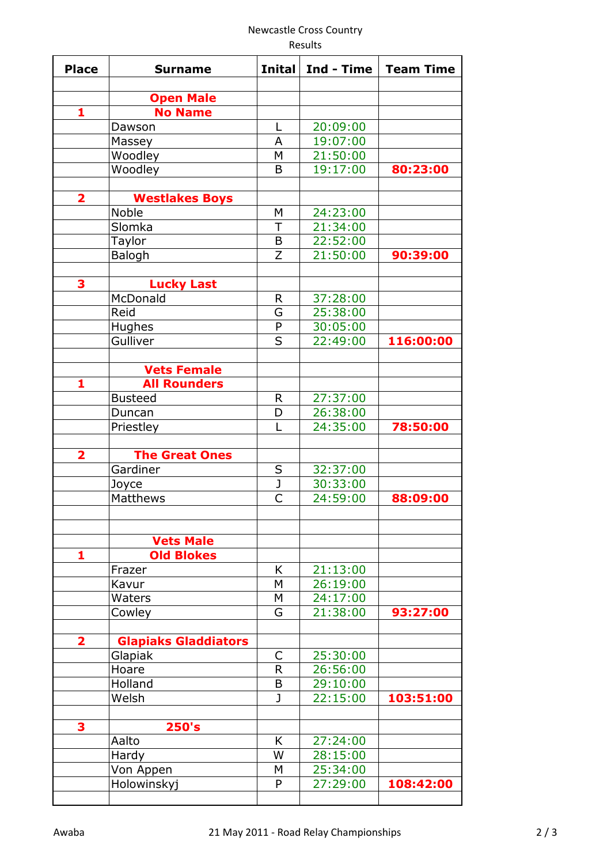## Newcastle Cross Country

Results

| <b>Place</b>            | <b>Surname</b>              | <b>Inital</b>           | Ind - Time | <b>Team Time</b> |
|-------------------------|-----------------------------|-------------------------|------------|------------------|
|                         | <b>Open Male</b>            |                         |            |                  |
| 1                       | <b>No Name</b>              |                         |            |                  |
|                         | Dawson                      | L                       | 20:09:00   |                  |
|                         | Massey                      | A                       | 19:07:00   |                  |
|                         | Woodley                     | M                       | 21:50:00   |                  |
|                         | Woodley                     | B                       | 19:17:00   | 80:23:00         |
| $\overline{\mathbf{2}}$ | <b>Westlakes Boys</b>       |                         |            |                  |
|                         | <b>Noble</b>                | M                       | 24:23:00   |                  |
|                         | Slomka                      | $\top$                  | 21:34:00   |                  |
|                         | Taylor                      | B                       | 22:52:00   |                  |
|                         | Balogh                      | Z                       | 21:50:00   | 90:39:00         |
|                         |                             |                         |            |                  |
| 3                       | <b>Lucky Last</b>           |                         |            |                  |
|                         | McDonald                    | R                       | 37:28:00   |                  |
|                         | Reid                        | G                       | 25:38:00   |                  |
|                         | Hughes                      | P                       | 30:05:00   |                  |
|                         | Gulliver                    | S                       | 22:49:00   | 116:00:00        |
|                         |                             |                         |            |                  |
|                         | <b>Vets Female</b>          |                         |            |                  |
| 1                       | <b>All Rounders</b>         |                         |            |                  |
|                         | <b>Busteed</b>              | R                       | 27:37:00   |                  |
|                         | Duncan                      | D                       | 26:38:00   |                  |
|                         | Priestley                   | L                       | 24:35:00   | 78:50:00         |
| $\overline{\mathbf{2}}$ | <b>The Great Ones</b>       |                         |            |                  |
|                         | Gardiner                    | S                       | 32:37:00   |                  |
|                         | Joyce                       | $\overline{\mathsf{J}}$ | 30:33:00   |                  |
|                         | <b>Matthews</b>             | C                       | 24:59:00   | 88:09:00         |
|                         |                             |                         |            |                  |
|                         | <b>Vets Male</b>            |                         |            |                  |
| 1                       | <b>Old Blokes</b>           |                         |            |                  |
|                         | Frazer                      | K                       | 21:13:00   |                  |
|                         | Kavur                       | M                       | 26:19:00   |                  |
|                         | Waters                      | M                       | 24:17:00   |                  |
|                         | Cowley                      | G                       | 21:38:00   | 93:27:00         |
| 2                       | <b>Glapiaks Gladdiators</b> |                         |            |                  |
|                         | Glapiak                     | C                       | 25:30:00   |                  |
|                         | Hoare                       | $\mathsf{R}$            | 26:56:00   |                  |
|                         | Holland                     | B                       | 29:10:00   |                  |
|                         | Welsh                       | J                       | 22:15:00   | 103:51:00        |
|                         |                             |                         |            |                  |
| 3                       | 250's                       |                         |            |                  |
|                         | Aalto                       | K                       | 27:24:00   |                  |
|                         | Hardy                       | W                       | 28:15:00   |                  |
|                         | Von Appen                   | М                       | 25:34:00   |                  |
|                         | Holowinskyj                 | P                       | 27:29:00   | 108:42:00        |
|                         |                             |                         |            |                  |